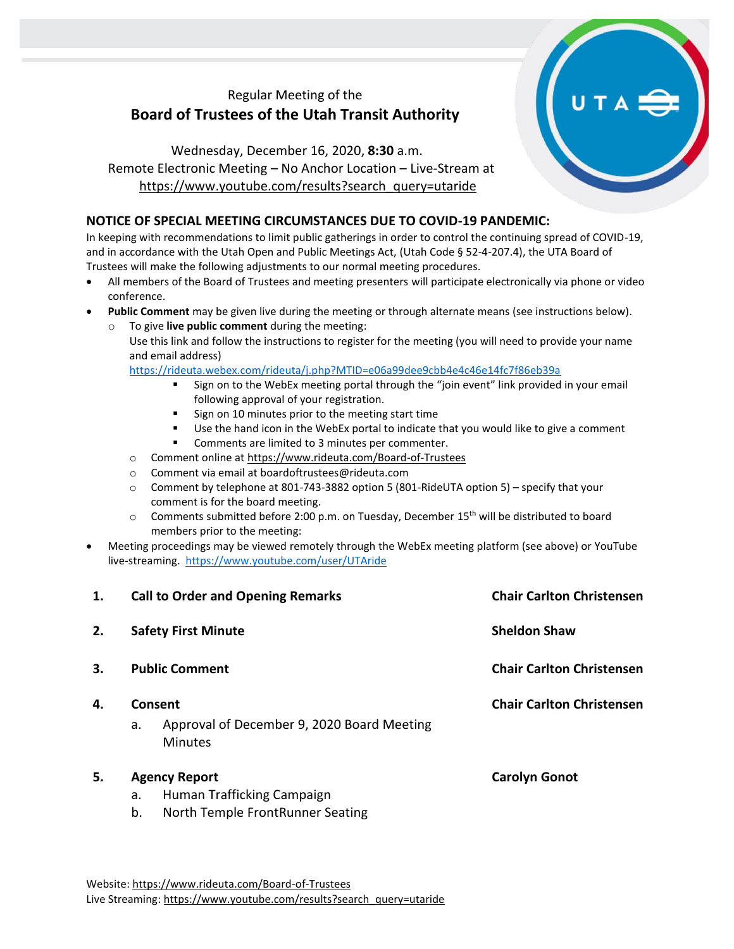## Regular Meeting of the **Board of Trustees of the Utah Transit Authority**

## Wednesday, December 16, 2020, **8:30** a.m. Remote Electronic Meeting – No Anchor Location – Live-Stream at [https://www.youtube.com/results?search\\_query=utaride](https://www.youtube.com/results?search_query=utaride)

### **NOTICE OF SPECIAL MEETING CIRCUMSTANCES DUE TO COVID-19 PANDEMIC:**

In keeping with recommendations to limit public gatherings in order to control the continuing spread of COVID-19, and in accordance with the Utah Open and Public Meetings Act, (Utah Code § 52-4-207.4), the UTA Board of Trustees will make the following adjustments to our normal meeting procedures.

- All members of the Board of Trustees and meeting presenters will participate electronically via phone or video conference.
- **Public Comment** may be given live during the meeting or through alternate means (see instructions below).
	- To give **live public comment** during the meeting: Use this link and follow the instructions to register for the meeting (you will need to provide your name and email address)

<https://rideuta.webex.com/rideuta/j.php?MTID=e06a99dee9cbb4e4c46e14fc7f86eb39a>

- Sign on to the WebEx meeting portal through the "join event" link provided in your email following approval of your registration.
- Sign on 10 minutes prior to the meeting start time
- Use the hand icon in the WebEx portal to indicate that you would like to give a comment
- Comments are limited to 3 minutes per commenter.
- o Comment online a[t https://www.rideuta.com/Board-of-Trustees](https://www.rideuta.com/Board-of-Trustees)
- o Comment via email at [boardoftrustees@rideuta.com](mailto:boardoftrustees@rideuta.com)
- o Comment by telephone at 801-743-3882 option 5 (801-RideUTA option 5) specify that your comment is for the board meeting.
- $\circ$  Comments submitted before 2:00 p.m. on Tuesday, December 15<sup>th</sup> will be distributed to board members prior to the meeting:
- Meeting proceedings may be viewed remotely through the WebEx meeting platform (see above) or YouTube live-streaming. <https://www.youtube.com/user/UTAride>

| 1. | <b>Call to Order and Opening Remarks</b>                                                           | <b>Chair Carlton Christensen</b> |
|----|----------------------------------------------------------------------------------------------------|----------------------------------|
| 2. | <b>Safety First Minute</b>                                                                         | <b>Sheldon Shaw</b>              |
| 3. | <b>Public Comment</b>                                                                              | <b>Chair Carlton Christensen</b> |
| 4. | Consent<br>Approval of December 9, 2020 Board Meeting<br>a.<br><b>Minutes</b>                      | <b>Chair Carlton Christensen</b> |
| 5. | <b>Agency Report</b><br>Human Trafficking Campaign<br>a.<br>b.<br>North Temple FrontRunner Seating | <b>Carolyn Gonot</b>             |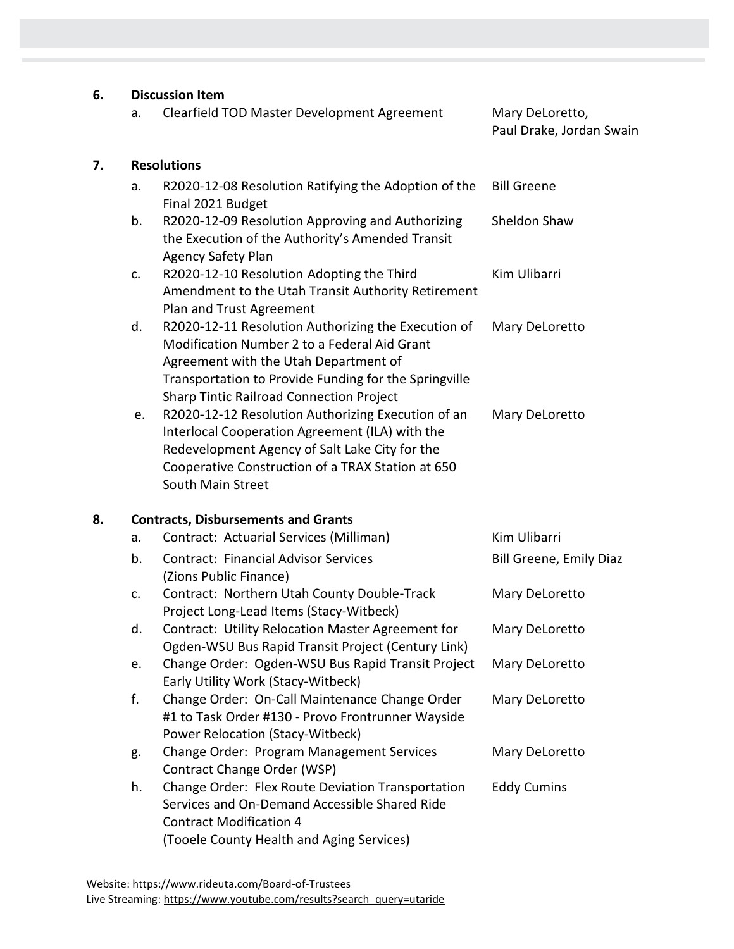### **6. Discussion Item**

| Clearfield TOD Master Development Agreement | Mary DeLoretto, |
|---------------------------------------------|-----------------|
|                                             |                 |

# Paul Drake, Jordan Swain

#### **7. Resolutions**

- a. R2020-12-08 Resolution Ratifying the Adoption of the Final 2021 Budget Bill Greene
- b. R2020-12-09 Resolution Approving and Authorizing the Execution of the Authority's Amended Transit Agency Safety Plan Sheldon Shaw
- c. R2020-12-10 Resolution Adopting the Third Amendment to the Utah Transit Authority Retirement Plan and Trust Agreement Kim Ulibarri
- d. R2020-12-11 Resolution Authorizing the Execution of Modification Number 2 to a Federal Aid Grant Agreement with the Utah Department of Transportation to Provide Funding for the Springville Sharp Tintic Railroad Connection Project Mary DeLoretto
- e. R2020-12-12 Resolution Authorizing Execution of an Interlocal Cooperation Agreement (ILA) with the Redevelopment Agency of Salt Lake City for the Cooperative Construction of a TRAX Station at 650 South Main Street Mary DeLoretto

#### **8. Contracts, Disbursements and Grants**

| a. | Contract: Actuarial Services (Milliman)                                                                                                                                           | Kim Ulibarri            |
|----|-----------------------------------------------------------------------------------------------------------------------------------------------------------------------------------|-------------------------|
| b. | <b>Contract: Financial Advisor Services</b><br>(Zions Public Finance)                                                                                                             | Bill Greene, Emily Diaz |
| c. | Contract: Northern Utah County Double-Track<br>Project Long-Lead Items (Stacy-Witbeck)                                                                                            | Mary DeLoretto          |
| d. | Contract: Utility Relocation Master Agreement for<br>Ogden-WSU Bus Rapid Transit Project (Century Link)                                                                           | Mary DeLoretto          |
| e. | Change Order: Ogden-WSU Bus Rapid Transit Project<br>Early Utility Work (Stacy-Witbeck)                                                                                           | Mary DeLoretto          |
| f. | Change Order: On-Call Maintenance Change Order<br>#1 to Task Order #130 - Provo Frontrunner Wayside<br>Power Relocation (Stacy-Witbeck)                                           | Mary DeLoretto          |
| g. | <b>Change Order: Program Management Services</b><br>Contract Change Order (WSP)                                                                                                   | Mary DeLoretto          |
| h. | Change Order: Flex Route Deviation Transportation<br>Services and On-Demand Accessible Shared Ride<br><b>Contract Modification 4</b><br>(Tooele County Health and Aging Services) | <b>Eddy Cumins</b>      |